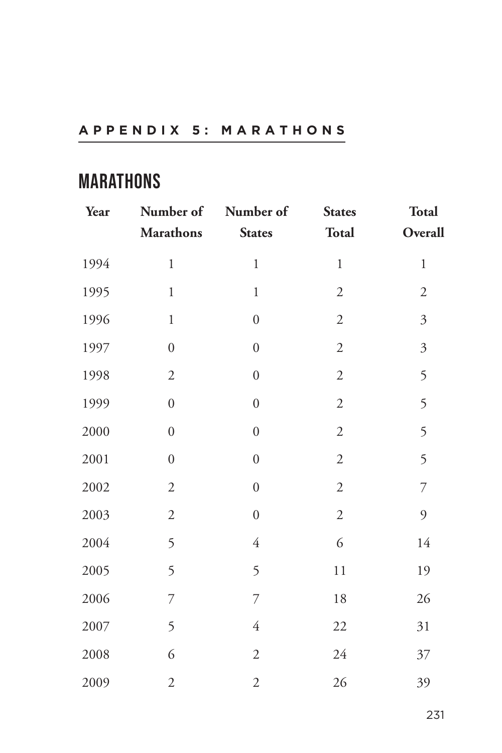## **APPENDIX 5: MARATHONS**

## **MARATHONS**

| Year | Number of<br><b>Marathons</b> | Number of<br><b>States</b> | <b>States</b><br>Total | <b>Total</b><br>Overall |
|------|-------------------------------|----------------------------|------------------------|-------------------------|
| 1994 | $\,1$                         | $\,1$                      | $\,1$                  | $\,1$                   |
| 1995 | $\mathbf{1}$                  | $\,1$                      | $\mathfrak{2}$         | $\sqrt{2}$              |
| 1996 | $\mathbf{1}$                  | $\boldsymbol{0}$           | $\sqrt{2}$             | $\mathfrak{Z}$          |
| 1997 | $\boldsymbol{0}$              | $\boldsymbol{0}$           | $\overline{2}$         | $\mathfrak{Z}$          |
| 1998 | $\mathfrak{2}$                | $\boldsymbol{0}$           | $\sqrt{2}$             | 5                       |
| 1999 | $\boldsymbol{0}$              | $\boldsymbol{0}$           | $\mathfrak{2}$         | 5                       |
| 2000 | $\boldsymbol{0}$              | $\boldsymbol{0}$           | $\sqrt{2}$             | 5                       |
| 2001 | $\boldsymbol{0}$              | $\boldsymbol{0}$           | $\sqrt{2}$             | 5                       |
| 2002 | $\sqrt{2}$                    | $\boldsymbol{0}$           | $\sqrt{2}$             | $\overline{7}$          |
| 2003 | $\overline{2}$                | $\boldsymbol{0}$           | $\overline{2}$         | $\mathfrak{g}$          |
| 2004 | 5                             | $\overline{4}$             | 6                      | 14                      |
| 2005 | 5                             | 5                          | 11                     | 19                      |
| 2006 | $\overline{7}$                | $\overline{7}$             | $18\,$                 | 26                      |
| 2007 | 5                             | $\overline{4}$             | 22                     | 31                      |
| 2008 | 6                             | $\sqrt{2}$                 | 24                     | 37                      |
| 2009 | $\sqrt{2}$                    | $\mathfrak{2}$             | 26                     | 39                      |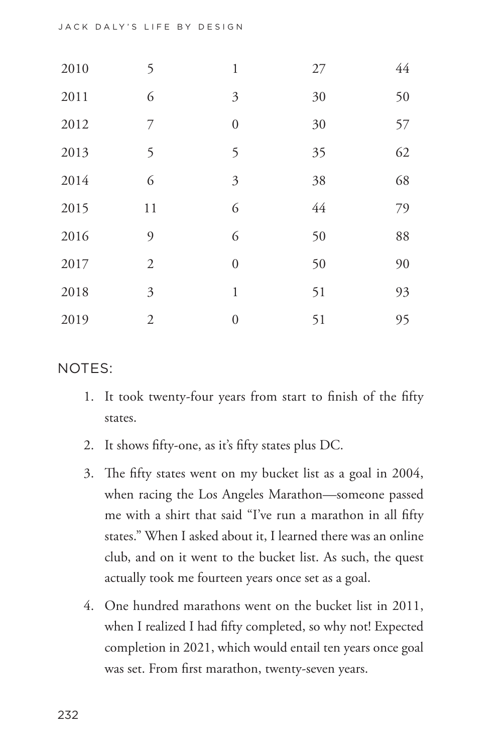| 2010 | 5              | $\mathbf{1}$     | 27 | 44 |
|------|----------------|------------------|----|----|
| 2011 | 6              | $\mathfrak{Z}$   | 30 | 50 |
| 2012 | 7              | $\boldsymbol{0}$ | 30 | 57 |
| 2013 | 5              | 5                | 35 | 62 |
| 2014 | 6              | 3                | 38 | 68 |
| 2015 | 11             | 6                | 44 | 79 |
| 2016 | 9              | 6                | 50 | 88 |
| 2017 | $\overline{2}$ | $\overline{0}$   | 50 | 90 |
| 2018 | 3              | $\mathbf{1}$     | 51 | 93 |
| 2019 | $\mathfrak{2}$ | $\overline{0}$   | 51 | 95 |

NOTES:

- 1. It took twenty-four years from start to finish of the fifty states.
- 2. It shows fifty-one, as it's fifty states plus DC.
- 3. The fifty states went on my bucket list as a goal in 2004, when racing the Los Angeles Marathon—someone passed me with a shirt that said "I've run a marathon in all fifty states." When I asked about it, I learned there was an online club, and on it went to the bucket list. As such, the quest actually took me fourteen years once set as a goal.
- 4. One hundred marathons went on the bucket list in 2011, when I realized I had fifty completed, so why not! Expected completion in 2021, which would entail ten years once goal was set. From first marathon, twenty-seven years.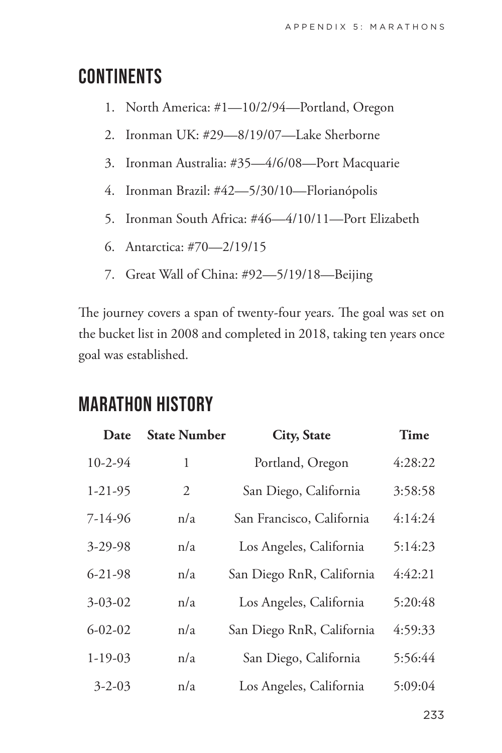## **CONTINENTS**

- 1. North America: #1—10/2/94—Portland, Oregon
- 2. Ironman UK: #29—8/19/07—Lake Sherborne
- 3. Ironman Australia: #35—4/6/08—Port Macquarie
- 4. Ironman Brazil: #42—5/30/10—Florianópolis
- 5. Ironman South Africa: #46—4/10/11—Port Elizabeth
- 6. Antarctica: #70—2/19/15
- 7. Great Wall of China: #92—5/19/18—Beijing

The journey covers a span of twenty-four years. The goal was set on the bucket list in 2008 and completed in 2018, taking ten years once goal was established.

## **MARATHON HISTORY**

| Date          | <b>State Number</b> | <b>City, State</b>        | Time    |
|---------------|---------------------|---------------------------|---------|
| 10-2-94       | 1                   | Portland, Oregon          | 4:28:22 |
| $1 - 21 - 95$ | $\overline{2}$      | San Diego, California     | 3:58:58 |
| $7 - 14 - 96$ | n/a                 | San Francisco, California | 4:14:24 |
| $3 - 29 - 98$ | n/a                 | Los Angeles, California   | 5:14:23 |
| $6 - 21 - 98$ | n/a                 | San Diego RnR, California | 4:42:21 |
| $3 - 03 - 02$ | n/a                 | Los Angeles, California   | 5:20:48 |
| $6 - 02 - 02$ | n/a                 | San Diego RnR, California | 4:59:33 |
| $1-19-03$     | n/a                 | San Diego, California     | 5:56:44 |
| $3 - 2 - 03$  | n/a                 | Los Angeles, California   | 5:09:04 |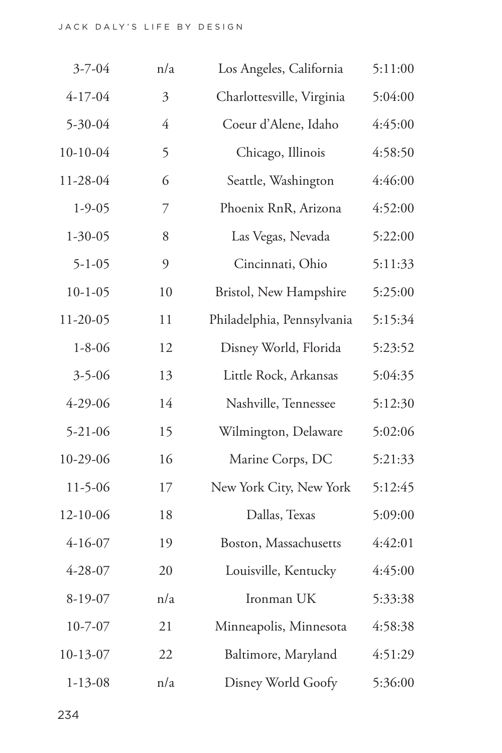| $3 - 7 - 04$  | n/a | Los Angeles, California    | 5:11:00 |
|---------------|-----|----------------------------|---------|
| $4 - 17 - 04$ | 3   | Charlottesville, Virginia  | 5:04:00 |
| 5-30-04       | 4   | Coeur d'Alene, Idaho       | 4:45:00 |
| $10-10-04$    | 5   | Chicago, Illinois          | 4:58:50 |
| 11-28-04      | 6   | Seattle, Washington        | 4:46:00 |
| $1 - 9 - 05$  | 7   | Phoenix RnR, Arizona       | 4:52:00 |
| $1 - 30 - 05$ | 8   | Las Vegas, Nevada          | 5:22:00 |
| $5 - 1 - 05$  | 9   | Cincinnati, Ohio           | 5:11:33 |
| $10 - 1 - 05$ | 10  | Bristol, New Hampshire     | 5:25:00 |
| 11-20-05      | 11  | Philadelphia, Pennsylvania | 5:15:34 |
| $1 - 8 - 06$  | 12  | Disney World, Florida      | 5:23:52 |
| $3 - 5 - 06$  | 13  | Little Rock, Arkansas      | 5:04:35 |
| $4 - 29 - 06$ | 14  | Nashville, Tennessee       | 5:12:30 |
| $5 - 21 - 06$ | 15  | Wilmington, Delaware       | 5:02:06 |
| 10-29-06      | 16  | Marine Corps, DC           | 5:21:33 |
| $11 - 5 - 06$ | 17  | New York City, New York    | 5:12:45 |
| 12-10-06      | 18  | Dallas, Texas              | 5:09:00 |
| $4 - 16 - 07$ | 19  | Boston, Massachusetts      | 4:42:01 |
| 4-28-07       | 20  | Louisville, Kentucky       | 4:45:00 |
| 8-19-07       | n/a | Ironman UK                 | 5:33:38 |
| $10 - 7 - 07$ | 21  | Minneapolis, Minnesota     | 4:58:38 |
| $10-13-07$    | 22  | Baltimore, Maryland        | 4:51:29 |
| $1 - 13 - 08$ | n/a | Disney World Goofy         | 5:36:00 |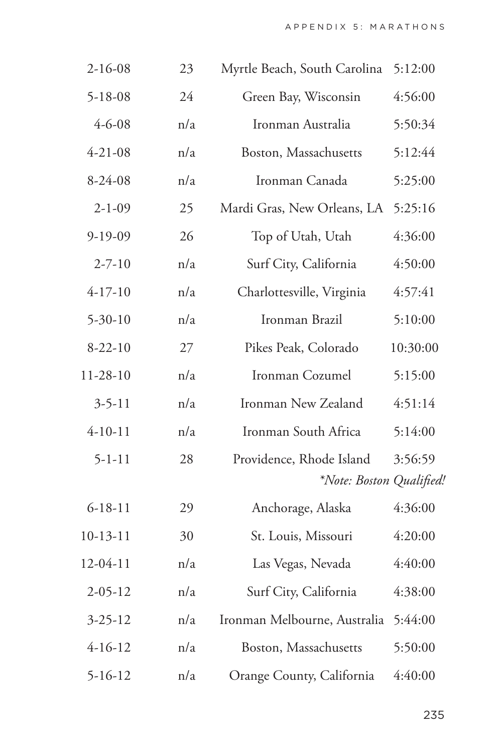| $2 - 16 - 08$ | 23  | Myrtle Beach, South Carolina 5:12:00                 |          |
|---------------|-----|------------------------------------------------------|----------|
| $5 - 18 - 08$ | 24  | Green Bay, Wisconsin                                 | 4:56:00  |
| $4 - 6 - 08$  | n/a | Ironman Australia                                    | 5:50:34  |
| $4 - 21 - 08$ | n/a | Boston, Massachusetts                                | 5:12:44  |
| $8 - 24 - 08$ | n/a | Ironman Canada                                       | 5:25:00  |
| $2 - 1 - 09$  | 25  | Mardi Gras, New Orleans, LA                          | 5:25:16  |
| $9-19-09$     | 26  | Top of Utah, Utah                                    | 4:36:00  |
| $2 - 7 - 10$  | n/a | Surf City, California                                | 4:50:00  |
| $4 - 17 - 10$ | n/a | Charlottesville, Virginia                            | 4:57:41  |
| $5 - 30 - 10$ | n/a | Ironman Brazil                                       | 5:10:00  |
| $8 - 22 - 10$ | 27  | Pikes Peak, Colorado                                 | 10:30:00 |
| 11-28-10      | n/a | Ironman Cozumel                                      | 5:15:00  |
| $3 - 5 - 11$  | n/a | Ironman New Zealand                                  | 4:51:14  |
| $4-10-11$     | n/a | Ironman South Africa                                 | 5:14:00  |
| $5 - 1 - 11$  | 28  | Providence, Rhode Island<br>*Note: Boston Qualified! | 3:56:59  |
| $6 - 18 - 11$ | 29  | Anchorage, Alaska                                    | 4:36:00  |
| $10-13-11$    | 30  | St. Louis, Missouri                                  | 4:20:00  |
| 12-04-11      | n/a | Las Vegas, Nevada                                    | 4:40:00  |
| $2 - 05 - 12$ | n/a | Surf City, California                                | 4:38:00  |
| $3 - 25 - 12$ | n/a | Ironman Melbourne, Australia                         | 5:44:00  |
| $4 - 16 - 12$ | n/a | Boston, Massachusetts                                | 5:50:00  |
| $5 - 16 - 12$ | n/a | Orange County, California                            | 4:40:00  |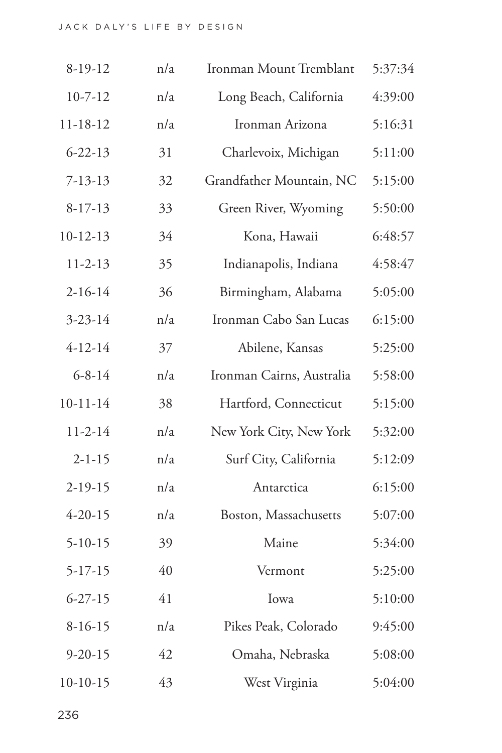| $8-19-12$     | n/a | Ironman Mount Tremblant   | 5:37:34 |
|---------------|-----|---------------------------|---------|
| $10 - 7 - 12$ | n/a | Long Beach, California    | 4:39:00 |
| 11-18-12      | n/a | Ironman Arizona           | 5:16:31 |
| $6 - 22 - 13$ | 31  | Charlevoix, Michigan      | 5:11:00 |
| $7 - 13 - 13$ | 32  | Grandfather Mountain, NC  | 5:15:00 |
| $8 - 17 - 13$ | 33  | Green River, Wyoming      | 5:50:00 |
| $10-12-13$    | 34  | Kona, Hawaii              | 6:48:57 |
| $11 - 2 - 13$ | 35  | Indianapolis, Indiana     | 4:58:47 |
| $2 - 16 - 14$ | 36  | Birmingham, Alabama       | 5:05:00 |
| $3 - 23 - 14$ | n/a | Ironman Cabo San Lucas    | 6:15:00 |
| $4 - 12 - 14$ | 37  | Abilene, Kansas           | 5:25:00 |
| $6 - 8 - 14$  | n/a | Ironman Cairns, Australia | 5:58:00 |
| $10-11-14$    | 38  | Hartford, Connecticut     | 5:15:00 |
| $11 - 2 - 14$ | n/a | New York City, New York   | 5:32:00 |
| $2 - 1 - 15$  | n/a | Surf City, California     | 5:12:09 |
| $2-19-15$     | n/a | Antarctica                | 6:15:00 |
| $4 - 20 - 15$ | n/a | Boston, Massachusetts     | 5:07:00 |
| $5 - 10 - 15$ | 39  | Maine                     | 5:34:00 |
| 5-17-15       | 40  | Vermont                   | 5:25:00 |
| $6 - 27 - 15$ | 41  | Iowa                      | 5:10:00 |
| $8-16-15$     | n/a | Pikes Peak, Colorado      | 9:45:00 |
| $9 - 20 - 15$ | 42  | Omaha, Nebraska           | 5:08:00 |
| $10-10-15$    | 43  | West Virginia             | 5:04:00 |
|               |     |                           |         |